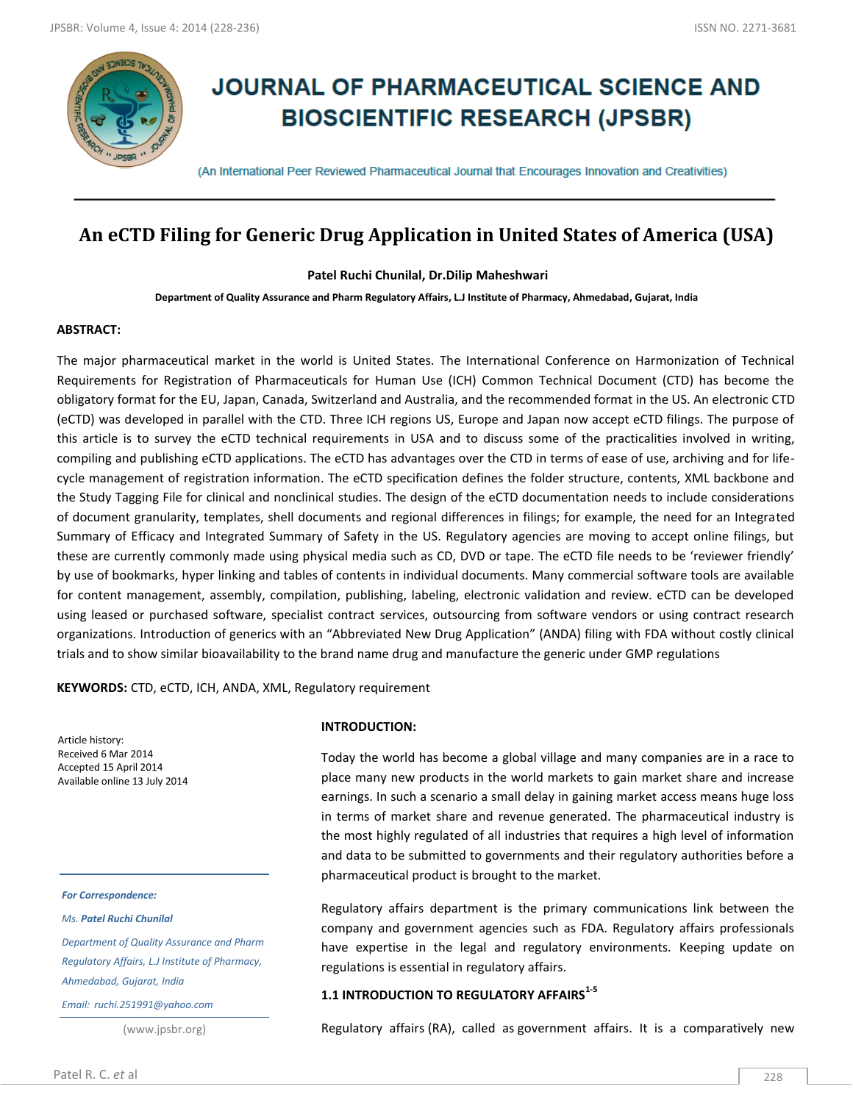

# **JOURNAL OF PHARMACEUTICAL SCIENCE AND BIOSCIENTIFIC RESEARCH (JPSBR)**

(An International Peer Reviewed Pharmaceutical Journal that Encourages Innovation and Creativities)

# **An eCTD Filing for Generic Drug Application in United States of America (USA)**

**Patel Ruchi Chunilal, Dr.Dilip Maheshwari**

**Department of Quality Assurance and Pharm Regulatory Affairs, L.J Institute of Pharmacy, Ahmedabad, Gujarat, India**

#### **ABSTRACT:**

The major pharmaceutical market in the world is United States. The International Conference on Harmonization of Technical Requirements for Registration of Pharmaceuticals for Human Use (ICH) Common Technical Document (CTD) has become the obligatory format for the EU, Japan, Canada, Switzerland and Australia, and the recommended format in the US. An electronic CTD (eCTD) was developed in parallel with the CTD. Three ICH regions US, Europe and Japan now accept eCTD filings. The purpose of this article is to survey the eCTD technical requirements in USA and to discuss some of the practicalities involved in writing, compiling and publishing eCTD applications. The eCTD has advantages over the CTD in terms of ease of use, archiving and for lifecycle management of registration information. The eCTD specification defines the folder structure, contents, XML backbone and the Study Tagging File for clinical and nonclinical studies. The design of the eCTD documentation needs to include considerations of document granularity, templates, shell documents and regional differences in filings; for example, the need for an Integrated Summary of Efficacy and Integrated Summary of Safety in the US. Regulatory agencies are moving to accept online filings, but these are currently commonly made using physical media such as CD, DVD or tape. The eCTD file needs to be 'reviewer friendly' by use of bookmarks, hyper linking and tables of contents in individual documents. Many commercial software tools are available for content management, assembly, compilation, publishing, labeling, electronic validation and review. eCTD can be developed using leased or purchased software, specialist contract services, outsourcing from software vendors or using contract research organizations. Introduction of generics with an "Abbreviated New Drug Application" (ANDA) filing with FDA without costly clinical trials and to show similar bioavailability to the brand name drug and manufacture the generic under GMP regulations

**KEYWORDS:** CTD, eCTD, ICH, ANDA, XML, Regulatory requirement

Article history: Received 6 Mar 2014 Accepted 15 April 2014 Available online 13 July 2014

*For Correspondence:*

*Ms. Patel Ruchi Chunilal*

*Department of Quality Assurance and Pharm Regulatory Affairs, L.J Institute of Pharmacy, Ahmedabad, Gujarat, India*

*Email: ruchi.251991@yahoo.com*

(www.jpsbr.org)

#### **INTRODUCTION:**

Today the world has become a global village and many companies are in a race to place many new products in the world markets to gain market share and increase earnings. In such a scenario a small delay in gaining market access means huge loss in terms of market share and revenue generated. The pharmaceutical industry is the most highly regulated of all industries that requires a high level of information and data to be submitted to governments and their regulatory authorities before a pharmaceutical product is brought to the market.

Regulatory affairs department is the primary communications link between the company and government agencies such as FDA. Regulatory affairs professionals have expertise in the legal and regulatory environments. Keeping update on regulations is essential in regulatory affairs.

#### **1.1 INTRODUCTION TO REGULATORY AFFAIRS1-5**

Regulatory affairs (RA), called as government affairs. It is a comparatively new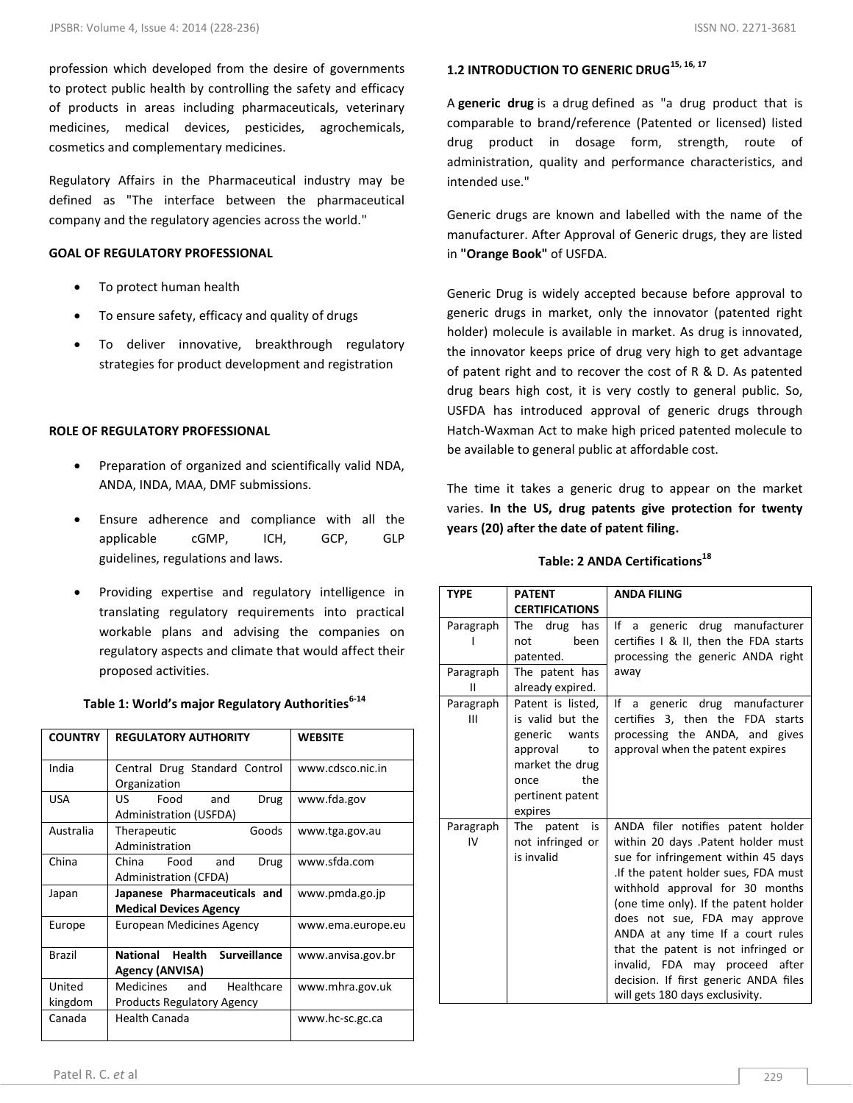profession which developed from the desire of governments to protect public health by controlling the safety and efficacy of products in areas including pharmaceuticals, veterinary medicines, medical devices, pesticides, agrochemicals, cosmetics and complementary medicines.

Regulatory Affairs in the Pharmaceutical industry may be defined as "The interface between the pharmaceutical company and the regulatory agencies across the world."

### **GOAL OF REGULATORY PROFESSIONAL**

- To protect human health
- To ensure safety, efficacy and quality of drugs
- To deliver innovative, breakthrough regulatory strategies for product development and registration

# **ROLE OF REGULATORY PROFESSIONAL**

- Preparation of organized and scientifically valid NDA, ANDA, INDA, MAA, DMF submissions.
- Ensure adherence and compliance with all the applicable cGMP, ICH, GCP, GLP guidelines, regulations and laws.
- Providing expertise and regulatory intelligence in translating regulatory requirements into practical workable plans and advising the companies on regulatory aspects and climate that would affect their proposed activities.

| <b>COUNTRY</b>    | <b>REGULATORY AUTHORITY</b>                                      | <b>WEBSITE</b>    |
|-------------------|------------------------------------------------------------------|-------------------|
| India             | Central Drug Standard Control<br>Organization                    | www.cdsco.nic.in  |
| <b>USA</b>        | Food<br>US.<br>and<br>Drug<br><b>Administration (USFDA)</b>      | www.fda.gov       |
| Australia         | Goods<br>Therapeutic<br>Administration                           | www.tga.gov.au    |
| China             | and<br>China<br>Food<br>Drug<br>Administration (CFDA)            | www.sfda.com      |
| Japan             | Japanese Pharmaceuticals and<br><b>Medical Devices Agency</b>    | www.pmda.go.jp    |
| Europe            | <b>European Medicines Agency</b>                                 | www.ema.europe.eu |
| Brazil            | Health<br><b>Surveillance</b><br>National<br>Agency (ANVISA)     | www.anvisa.gov.br |
| United<br>kingdom | Medicines and<br>Healthcare<br><b>Products Regulatory Agency</b> | www.mhra.gov.uk   |
| Canada            | Health Canada                                                    | www.hc-sc.gc.ca   |

# **Table 1: World's major Regulatory Authorities6-14**

# **1.2 INTRODUCTION TO GENERIC DRUG15, 16, 17**

A **generic drug** is a drug defined as "a drug product that is comparable to brand/reference (Patented or licensed) listed drug product in dosage form, strength, route of administration, quality and performance characteristics, and intended use."

Generic drugs are known and labelled with the name of the manufacturer. After Approval of Generic drugs, they are listed in **"Orange Book"** of USFDA.

Generic Drug is widely accepted because before approval to generic drugs in market, only the innovator (patented right holder) molecule is available in market. As drug is innovated, the innovator keeps price of drug very high to get advantage of patent right and to recover the cost of R & D. As patented drug bears high cost, it is very costly to general public. So, USFDA has introduced approval of generic drugs through Hatch-Waxman Act to make high priced patented molecule to be available to general public at affordable cost.

The time it takes a generic drug to appear on the market varies. **In the US, drug patents give protection for twenty years (20) after the date of patent filing.**

# **Table: 2 ANDA Certifications<sup>18</sup>**

| <b>TYPE</b>     | <b>PATENT</b>                                                                                                                                | <b>ANDA FILING</b>                                                                                                                                                                                                                                                                                                                                                                                                                                            |
|-----------------|----------------------------------------------------------------------------------------------------------------------------------------------|---------------------------------------------------------------------------------------------------------------------------------------------------------------------------------------------------------------------------------------------------------------------------------------------------------------------------------------------------------------------------------------------------------------------------------------------------------------|
|                 | <b>CERTIFICATIONS</b>                                                                                                                        |                                                                                                                                                                                                                                                                                                                                                                                                                                                               |
| Paragraph       | The<br>drug<br>has<br>been<br>not<br>patented.                                                                                               | a generic drug manufacturer<br>lf<br>certifies I & II, then the FDA starts<br>processing the generic ANDA right                                                                                                                                                                                                                                                                                                                                               |
| Paragraph<br>Ш  | The patent has<br>already expired.                                                                                                           | away                                                                                                                                                                                                                                                                                                                                                                                                                                                          |
| Paragraph<br>Ш  | Patent is listed,<br>is valid but the<br>generic<br>wants<br>approval<br>to<br>market the drug<br>the<br>once<br>pertinent patent<br>expires | a generic drug manufacturer<br>If<br>certifies 3, then the FDA starts<br>processing the ANDA, and gives<br>approval when the patent expires                                                                                                                                                                                                                                                                                                                   |
| Paragraph<br>IV | is<br>The patent<br>not infringed or<br>is invalid                                                                                           | ANDA filer notifies patent holder<br>within 20 days .Patent holder must<br>sue for infringement within 45 days<br>.If the patent holder sues, FDA must<br>withhold approval for 30 months<br>(one time only). If the patent holder<br>does not sue, FDA may approve<br>ANDA at any time If a court rules<br>that the patent is not infringed or<br>invalid, FDA may proceed after<br>decision. If first generic ANDA files<br>will gets 180 days exclusivity. |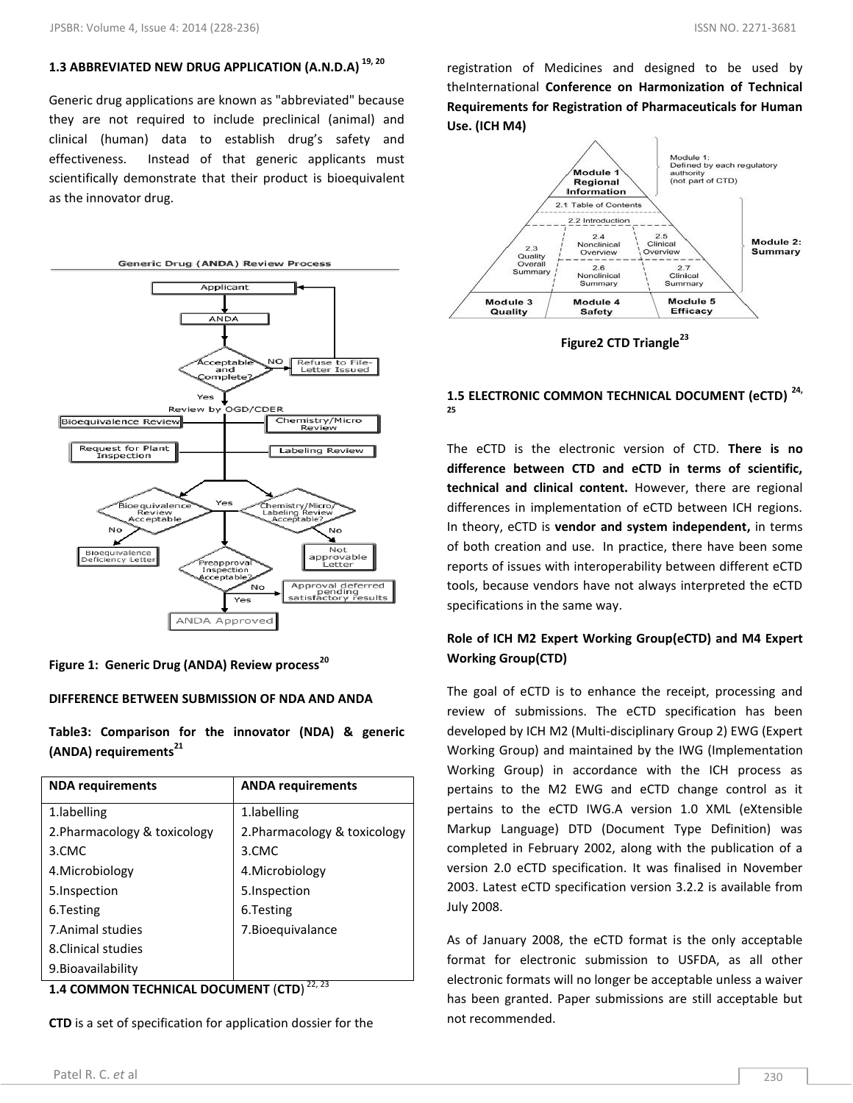# **1.3 ABBREVIATED NEW DRUG APPLICATION (A.N.D.A) 19, 20**

Generic drug applications are known as "abbreviated" because they are not required to include preclinical (animal) and clinical (human) data to establish drug's safety and effectiveness. Instead of that generic applicants must scientifically demonstrate that their product is bioequivalent as the innovator drug.



# **Figure 1: Generic Drug (ANDA) Review process<sup>20</sup>**

#### **DIFFERENCE BETWEEN SUBMISSION OF NDA AND ANDA**

**Table3: Comparison for the innovator (NDA) & generic (ANDA) requirements<sup>21</sup>**

| <b>NDA requirements</b>      | <b>ANDA requirements</b>     |
|------------------------------|------------------------------|
| 1. labelling                 | 1. labelling                 |
| 2. Pharmacology & toxicology | 2. Pharmacology & toxicology |
| 3.CMC                        | 3.CMC                        |
| 4. Microbiology              | 4. Microbiology              |
| 5. Inspection                | 5. Inspection                |
| 6. Testing                   | 6. Testing                   |
| 7. Animal studies            | 7. Bioequivalance            |
| 8. Clinical studies          |                              |
| 9. Bioavailability           |                              |

**1.4 COMMON TECHNICAL DOCUMENT** (**CTD**) 22, 23

**CTD** is a set of specification for application dossier for the

registration of Medicines and designed to be used by theInternational **Conference on Harmonization of Technical Requirements for Registration of Pharmaceuticals for Human Use. (ICH M4)**



**Figure2 CTD Triangle<sup>23</sup>**

# **1.5 ELECTRONIC COMMON TECHNICAL DOCUMENT (eCTD) 24, 25**

The eCTD is the electronic version of CTD. **There is no difference between CTD and eCTD in terms of scientific, technical and clinical content.** However, there are regional differences in implementation of eCTD between ICH regions. In theory, eCTD is **vendor and system independent,** in terms of both creation and use. In practice, there have been some reports of issues with interoperability between different eCTD tools, because vendors have not always interpreted the eCTD specifications in the same way.

# **Role of ICH M2 Expert Working Group(eCTD) and M4 Expert Working Group(CTD)**

The goal of eCTD is to enhance the receipt, processing and review of submissions. The eCTD specification has been developed by ICH M2 (Multi-disciplinary Group 2) EWG (Expert Working Group) and maintained by the IWG (Implementation Working Group) in accordance with the ICH process as pertains to the M2 EWG and eCTD change control as it pertains to the eCTD IWG.A version 1.0 XML (eXtensible Markup Language) DTD (Document Type Definition) was completed in February 2002, along with the publication of a version 2.0 eCTD specification. It was finalised in November 2003. Latest eCTD specification version 3.2.2 is available from July 2008.

As of January 2008, the eCTD format is the only acceptable format for electronic submission to USFDA, as all other electronic formats will no longer be acceptable unless a waiver has been granted. Paper submissions are still acceptable but not recommended.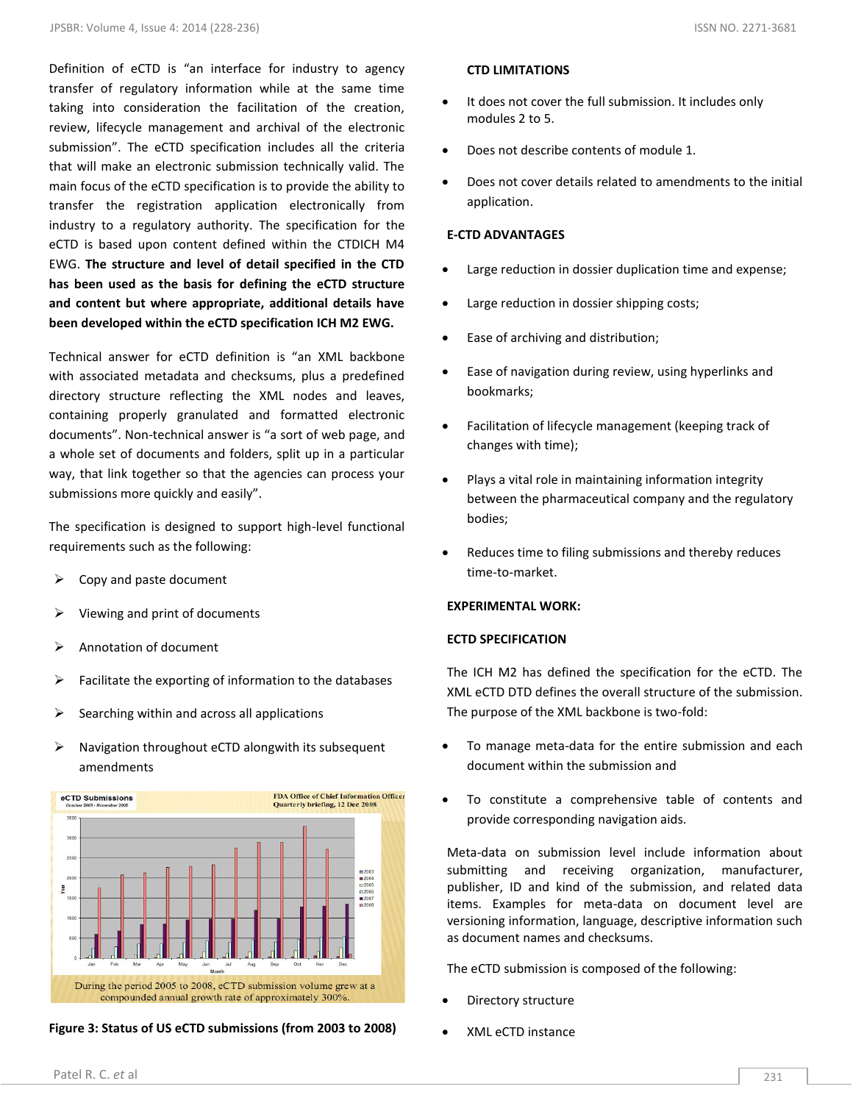Definition of eCTD is "an interface for industry to agency transfer of regulatory information while at the same time taking into consideration the facilitation of the creation, review, lifecycle management and archival of the electronic submission". The eCTD specification includes all the criteria that will make an electronic submission technically valid. The main focus of the eCTD specification is to provide the ability to transfer the registration application electronically from industry to a regulatory authority. The specification for the eCTD is based upon content defined within the CTDICH M4 EWG. **The structure and level of detail specified in the CTD has been used as the basis for defining the eCTD structure and content but where appropriate, additional details have been developed within the eCTD specification ICH M2 EWG.**

Technical answer for eCTD definition is "an XML backbone with associated metadata and checksums, plus a predefined directory structure reflecting the XML nodes and leaves, containing properly granulated and formatted electronic documents". Non-technical answer is "a sort of web page, and a whole set of documents and folders, split up in a particular way, that link together so that the agencies can process your submissions more quickly and easily".

The specification is designed to support high-level functional requirements such as the following:

- Copy and paste document
- Viewing and print of documents
- Annotation of document
- $\triangleright$  Facilitate the exporting of information to the databases
- $\triangleright$  Searching within and across all applications
- $\triangleright$  Navigation throughout eCTD alongwith its subsequent amendments



**Figure 3: Status of US eCTD submissions (from 2003 to 2008)**

#### **CTD LIMITATIONS**

- It does not cover the full submission. It includes only modules 2 to 5.
- Does not describe contents of module 1.
- Does not cover details related to amendments to the initial application.

#### **E-CTD ADVANTAGES**

- Large reduction in dossier duplication time and expense;
- Large reduction in dossier shipping costs;
- Ease of archiving and distribution;
- Ease of navigation during review, using hyperlinks and bookmarks;
- Facilitation of lifecycle management (keeping track of changes with time);
- Plays a vital role in maintaining information integrity between the pharmaceutical company and the regulatory bodies;
- Reduces time to filing submissions and thereby reduces time-to-market.

### **EXPERIMENTAL WORK:**

#### **ECTD SPECIFICATION**

The ICH M2 has defined the specification for the eCTD. The XML eCTD DTD defines the overall structure of the submission. The purpose of the XML backbone is two-fold:

- To manage meta-data for the entire submission and each document within the submission and
- To constitute a comprehensive table of contents and provide corresponding navigation aids.

Meta-data on submission level include information about submitting and receiving organization, manufacturer, publisher, ID and kind of the submission, and related data items. Examples for meta-data on document level are versioning information, language, descriptive information such as document names and checksums.

The eCTD submission is composed of the following:

- Directory structure
- XML eCTD instance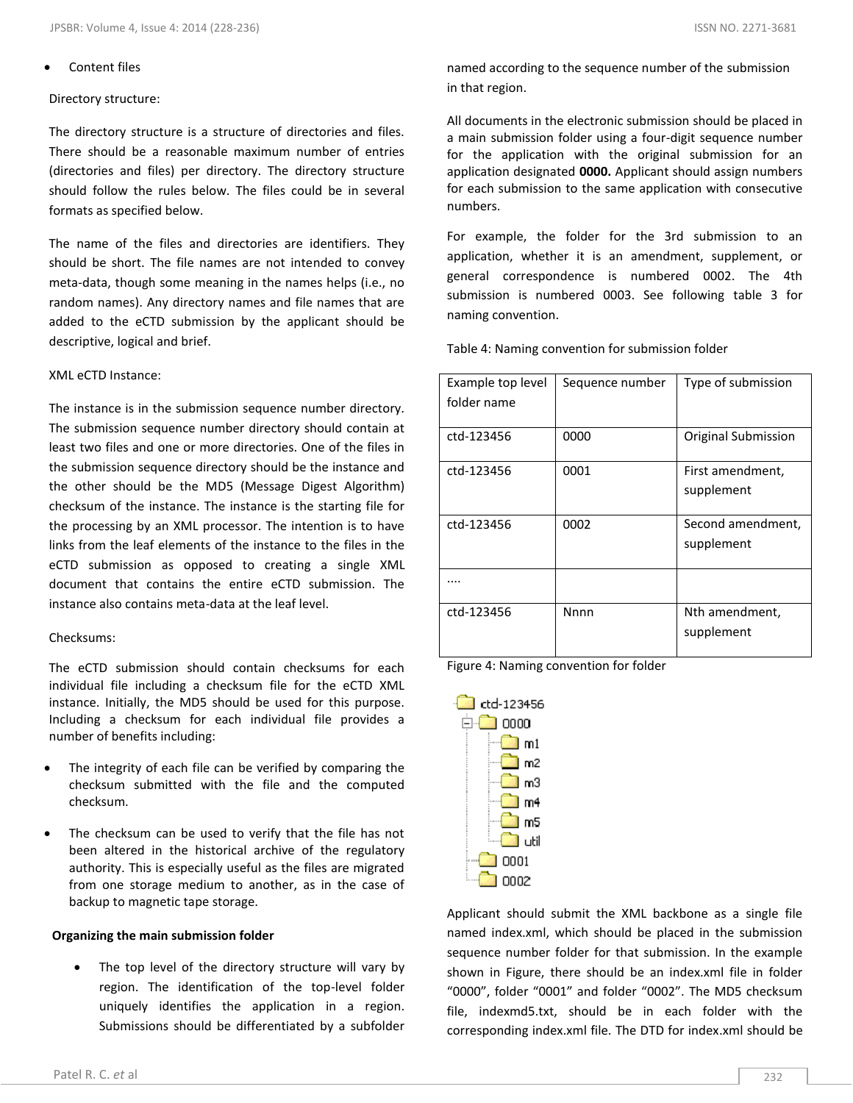# Content files

# Directory structure:

The directory structure is a structure of directories and files. There should be a reasonable maximum number of entries (directories and files) per directory. The directory structure should follow the rules below. The files could be in several formats as specified below.

The name of the files and directories are identifiers. They should be short. The file names are not intended to convey meta-data, though some meaning in the names helps (i.e., no random names). Any directory names and file names that are added to the eCTD submission by the applicant should be descriptive, logical and brief.

# XML eCTD Instance:

The instance is in the submission sequence number directory. The submission sequence number directory should contain at least two files and one or more directories. One of the files in the submission sequence directory should be the instance and the other should be the MD5 (Message Digest Algorithm) checksum of the instance. The instance is the starting file for the processing by an XML processor. The intention is to have links from the leaf elements of the instance to the files in the eCTD submission as opposed to creating a single XML document that contains the entire eCTD submission. The instance also contains meta-data at the leaf level.

# Checksums:

The eCTD submission should contain checksums for each individual file including a checksum file for the eCTD XML instance. Initially, the MD5 should be used for this purpose. Including a checksum for each individual file provides a number of benefits including:

- The integrity of each file can be verified by comparing the checksum submitted with the file and the computed checksum.
- The checksum can be used to verify that the file has not been altered in the historical archive of the regulatory authority. This is especially useful as the files are migrated from one storage medium to another, as in the case of backup to magnetic tape storage.

# **Organizing the main submission folder**

 The top level of the directory structure will vary by region. The identification of the top-level folder uniquely identifies the application in a region. Submissions should be differentiated by a subfolder

named according to the sequence number of the submission in that region.

All documents in the electronic submission should be placed in a main submission folder using a four-digit sequence number for the application with the original submission for an application designated **0000.** Applicant should assign numbers for each submission to the same application with consecutive numbers.

For example, the folder for the 3rd submission to an application, whether it is an amendment, supplement, or general correspondence is numbered 0002. The 4th submission is numbered 0003. See following table 3 for naming convention.

Table 4: Naming convention for submission folder

| Example top level<br>folder name | Sequence number | Type of submission              |
|----------------------------------|-----------------|---------------------------------|
| ctd-123456                       | 0000            | Original Submission             |
| ctd-123456                       | 0001            | First amendment,<br>supplement  |
| ctd-123456                       | 0002            | Second amendment,<br>supplement |
|                                  |                 |                                 |
| ctd-123456                       | Nnnn            | Nth amendment,<br>supplement    |

Figure 4: Naming convention for folder



Applicant should submit the XML backbone as a single file named index.xml, which should be placed in the submission sequence number folder for that submission. In the example shown in Figure, there should be an index.xml file in folder "0000", folder "0001" and folder "0002". The MD5 checksum file, indexmd5.txt, should be in each folder with the corresponding index.xml file. The DTD for index.xml should be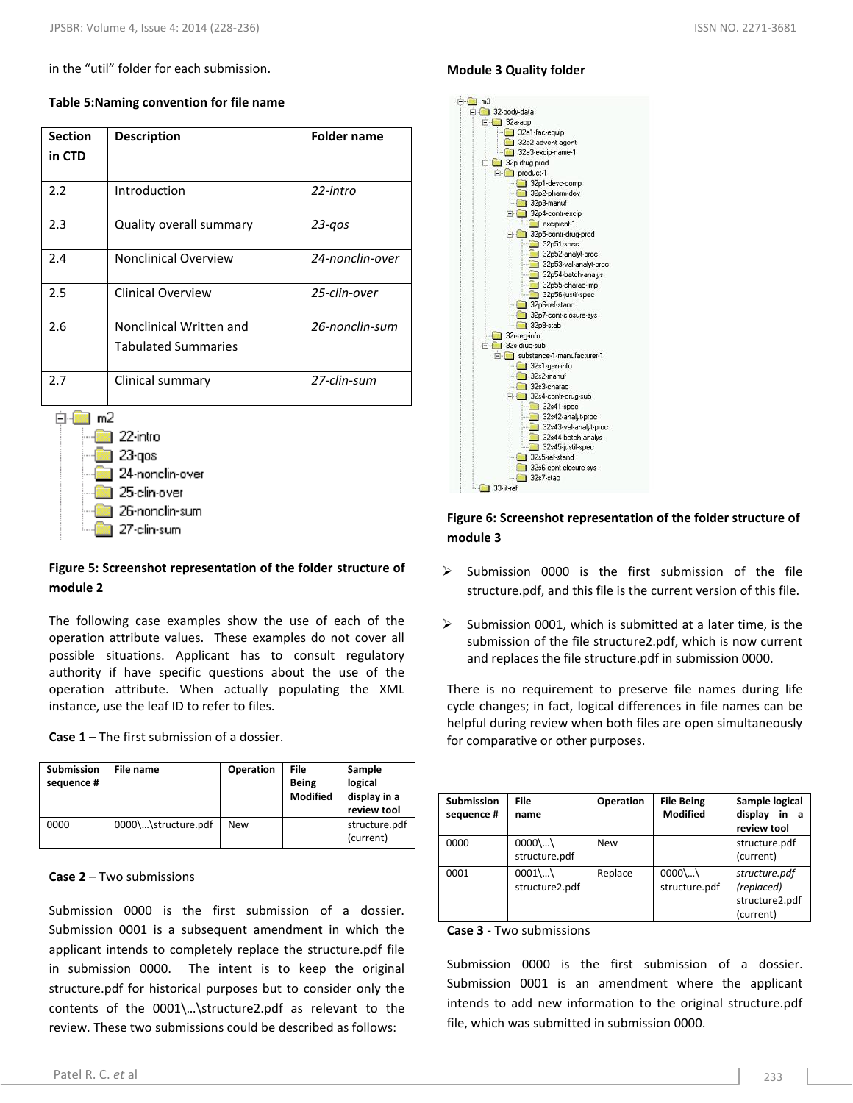in the "util" folder for each submission.

| <b>Section</b><br>in CTD | <b>Description</b>                                                                     | <b>Folder name</b> |
|--------------------------|----------------------------------------------------------------------------------------|--------------------|
| 2.2                      | Introduction                                                                           | $22$ -intro        |
| 2.3                      | Quality overall summary                                                                | $23 - q$ os        |
| 2.4                      | <b>Nonclinical Overview</b>                                                            | 24-nonclin-over    |
| 2.5                      | <b>Clinical Overview</b>                                                               | 25-clin-over       |
| 2.6                      | Nonclinical Written and<br><b>Tabulated Summaries</b>                                  | 26-nonclin-sum     |
| 2.7                      | Clinical summary                                                                       | 27-clin-sum        |
| m2                       | 22 intro<br>23 qos<br>24-nonclin-over<br>25-clin-over<br>26-nonclin-sum<br>27-clin-sum |                    |

# **Table 5:Naming convention for file name**

# **Figure 5: Screenshot representation of the folder structure of module 2**

The following case examples show the use of each of the operation attribute values. These examples do not cover all possible situations. Applicant has to consult regulatory authority if have specific questions about the use of the operation attribute. When actually populating the XML instance, use the leaf ID to refer to files.

**Case 1** – The first submission of a dossier.

| <b>Submission</b><br>sequence # | File name           | <b>Operation</b> | File<br><b>Being</b><br><b>Modified</b> | Sample<br>logical<br>display in a<br>review tool |
|---------------------------------|---------------------|------------------|-----------------------------------------|--------------------------------------------------|
| 0000                            | 0000\\structure.pdf | <b>New</b>       |                                         | structure.pdf<br>(current)                       |

#### **Case 2** – Two submissions

Submission 0000 is the first submission of a dossier. Submission 0001 is a subsequent amendment in which the applicant intends to completely replace the structure.pdf file in submission 0000. The intent is to keep the original structure.pdf for historical purposes but to consider only the contents of the 0001\…\structure2.pdf as relevant to the review. These two submissions could be described as follows:

# **Module 3 Quality folder**



# **Figure 6: Screenshot representation of the folder structure of module 3**

- $\triangleright$  Submission 0000 is the first submission of the file structure.pdf, and this file is the current version of this file.
- $\triangleright$  Submission 0001, which is submitted at a later time, is the submission of the file structure2.pdf, which is now current and replaces the file structure.pdf in submission 0000.

There is no requirement to preserve file names during life cycle changes; in fact, logical differences in file names can be helpful during review when both files are open simultaneously for comparative or other purposes.

| <b>Submission</b><br>sequence # | <b>File</b><br>name        | Operation  | <b>File Being</b><br><b>Modified</b> | Sample logical<br>display<br>in a<br>review tool           |
|---------------------------------|----------------------------|------------|--------------------------------------|------------------------------------------------------------|
| 0000                            | $0000$ \<br>structure.pdf  | <b>New</b> |                                      | structure.pdf<br>(current)                                 |
| 0001                            | $0001$ \<br>structure2.pdf | Replace    | $0000$<br>structure.pdf              | structure.pdf<br>(replaced)<br>structure2.pdf<br>(current) |

#### **Case 3** - Two submissions

Submission 0000 is the first submission of a dossier. Submission 0001 is an amendment where the applicant intends to add new information to the original structure.pdf file, which was submitted in submission 0000.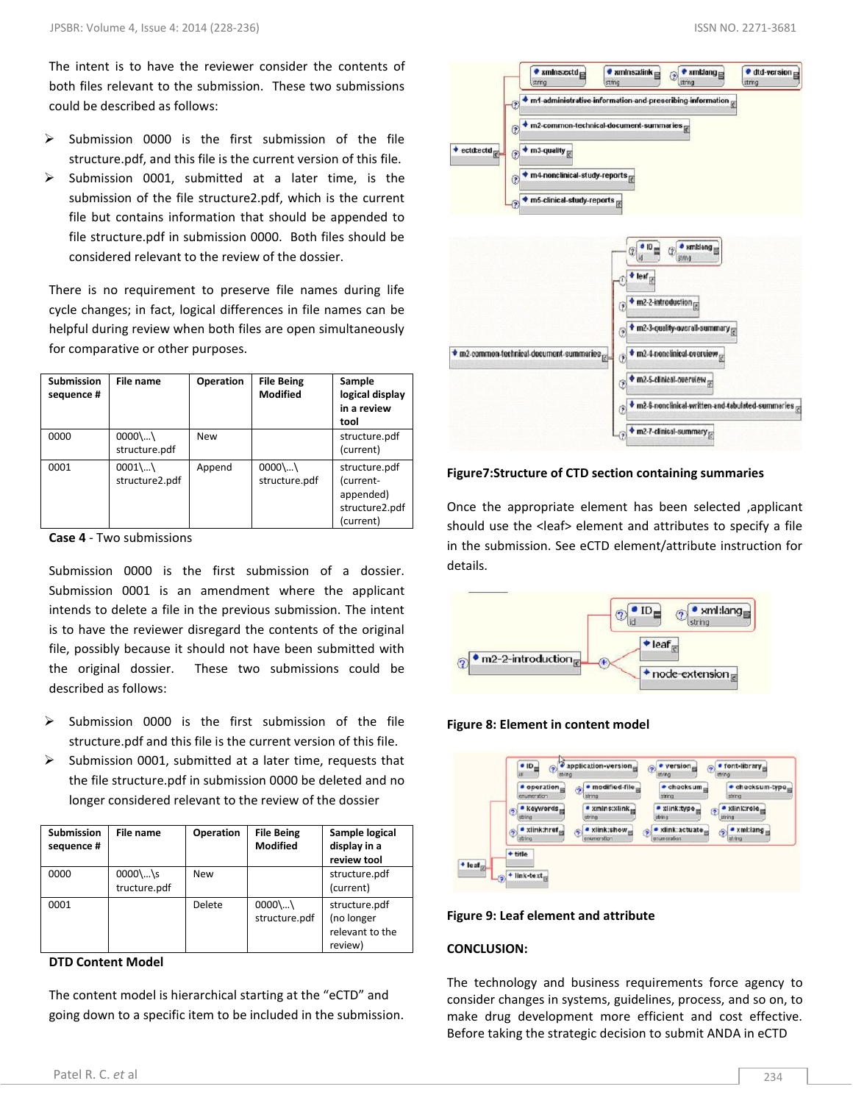The intent is to have the reviewer consider the contents of both files relevant to the submission. These two submissions could be described as follows:

- $\triangleright$  Submission 0000 is the first submission of the file structure.pdf, and this file is the current version of this file.
- $\triangleright$  Submission 0001, submitted at a later time, is the submission of the file structure2.pdf, which is the current file but contains information that should be appended to file structure.pdf in submission 0000. Both files should be considered relevant to the review of the dossier.

There is no requirement to preserve file names during life cycle changes; in fact, logical differences in file names can be helpful during review when both files are open simultaneously for comparative or other purposes.

| <b>Submission</b><br>sequence # | File name                 | Operation  | <b>File Being</b><br><b>Modified</b> | Sample<br>logical display<br>in a review<br>tool                       |
|---------------------------------|---------------------------|------------|--------------------------------------|------------------------------------------------------------------------|
| 0000                            | $0000$ \<br>structure.pdf | <b>New</b> |                                      | structure.pdf<br>(current)                                             |
| 0001                            | $0001$<br>structure2.pdf  | Append     | $0000$ \<br>structure.pdf            | structure.pdf<br>(current-<br>appended)<br>structure2.pdf<br>(current) |

**Case 4** - Two submissions

Submission 0000 is the first submission of a dossier. Submission 0001 is an amendment where the applicant intends to delete a file in the previous submission. The intent is to have the reviewer disregard the contents of the original file, possibly because it should not have been submitted with the original dossier. These two submissions could be described as follows:

- Submission 0000 is the first submission of the file structure.pdf and this file is the current version of this file.
- $\triangleright$  Submission 0001, submitted at a later time, requests that the file structure.pdf in submission 0000 be deleted and no longer considered relevant to the review of the dossier

| <b>Submission</b><br>sequence # | File name                 | Operation  | <b>File Being</b><br><b>Modified</b> | Sample logical<br>display in a<br>review tool             |
|---------------------------------|---------------------------|------------|--------------------------------------|-----------------------------------------------------------|
| 0000                            | $0000$ \s<br>tructure.pdf | <b>New</b> |                                      | structure.pdf<br>(current)                                |
| 0001                            |                           | Delete     | $0000$ \<br>structure.pdf            | structure.pdf<br>(no longer<br>relevant to the<br>review) |

### **DTD Content Model**

The content model is hierarchical starting at the "eCTD" and going down to a specific item to be included in the submission.



**Figure7:Structure of CTD section containing summaries**

Once the appropriate element has been selected ,applicant should use the <leaf> element and attributes to specify a file in the submission. See eCTD element/attribute instruction for details.



**Figure 8: Element in content model**

|                 | $\bullet$ operation<br>· modified-file<br>$\bullet$ checksum $\equiv$<br>$\bullet$ checksum-type $_{\text{eff}}$<br>È<br>string<br>string<br>string<br>enumeration                          |
|-----------------|---------------------------------------------------------------------------------------------------------------------------------------------------------------------------------------------|
|                 | $\bullet$ xmln s:xlink $\Box$<br>$\bullet$ xlink:role $\rule{0pt}{1em}\raisebox{0pt}{1em}$<br>· keywords <sub>m</sub><br>· xlink:type<br>€<br>ⅇ<br>string<br>string<br>string<br>string     |
|                 | $\bullet$ xlink:href $_{\rm eq}$<br>$\bullet$ xml:lang<br>$\bullet$ xlink:show $\bullet$<br>$\bullet$ xlink: actuate<br>۵<br>$\odot$<br>٥<br>string<br>enumeration<br>enumeration<br>string |
| $\bigstar$ leaf | + title                                                                                                                                                                                     |

#### **Figure 9: Leaf element and attribute**

#### **CONCLUSION:**

The technology and business requirements force agency to consider changes in systems, guidelines, process, and so on, to make drug development more efficient and cost effective. Before taking the strategic decision to submit ANDA in eCTD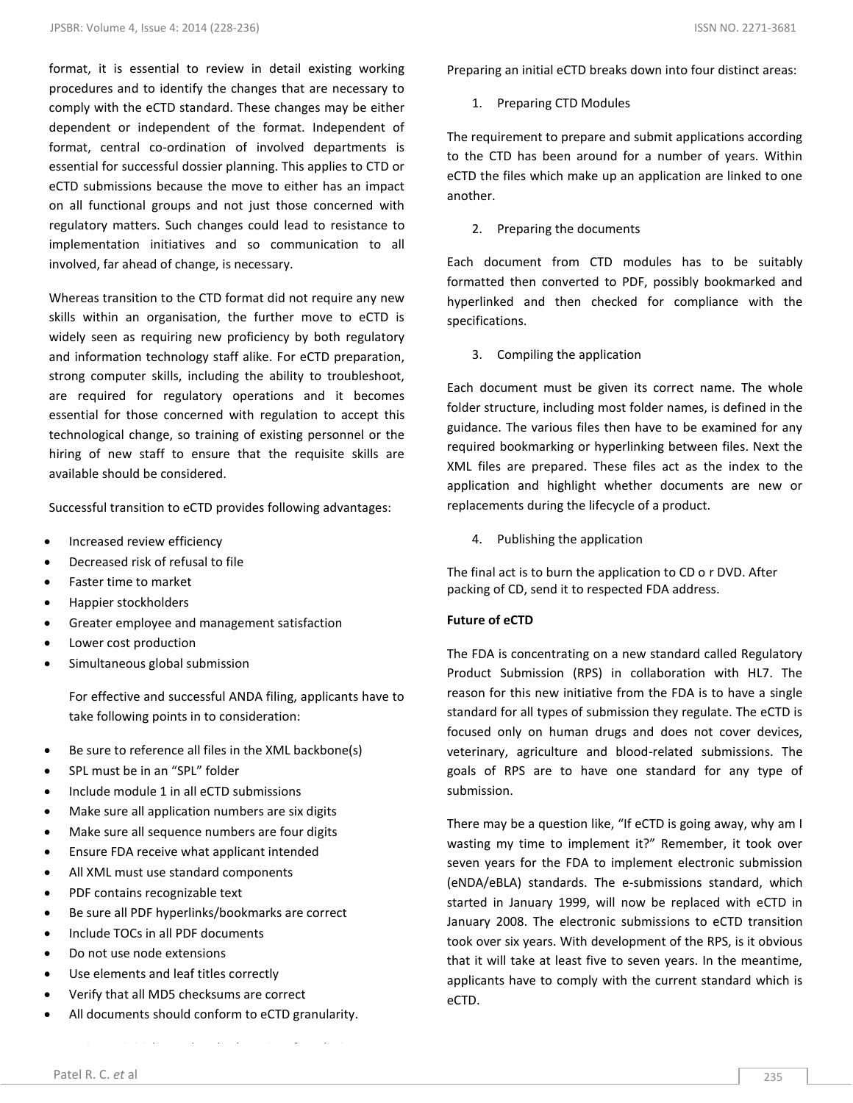format, it is essential to review in detail existing working procedures and to identify the changes that are necessary to comply with the eCTD standard. These changes may be either dependent or independent of the format. Independent of format, central co-ordination of involved departments is essential for successful dossier planning. This applies to CTD or eCTD submissions because the move to either has an impact on all functional groups and not just those concerned with regulatory matters. Such changes could lead to resistance to implementation initiatives and so communication to all involved, far ahead of change, is necessary.

Whereas transition to the CTD format did not require any new skills within an organisation, the further move to eCTD is widely seen as requiring new proficiency by both regulatory and information technology staff alike. For eCTD preparation, strong computer skills, including the ability to troubleshoot, are required for regulatory operations and it becomes essential for those concerned with regulation to accept this technological change, so training of existing personnel or the hiring of new staff to ensure that the requisite skills are available should be considered.

Successful transition to eCTD provides following advantages:

- Increased review efficiency
- Decreased risk of refusal to file
- Faster time to market
- Happier stockholders
- Greater employee and management satisfaction
- Lower cost production
- Simultaneous global submission

For effective and successful ANDA filing, applicants have to take following points in to consideration:

- Be sure to reference all files in the XML backbone(s)
- SPL must be in an "SPL" folder
- Include module 1 in all eCTD submissions
- Make sure all application numbers are six digits
- Make sure all sequence numbers are four digits
- Ensure FDA receive what applicant intended
- All XML must use standard components
- PDF contains recognizable text
- Be sure all PDF hyperlinks/bookmarks are correct
- Include TOCs in all PDF documents
- Do not use node extensions
- Use elements and leaf titles correctly
- Verify that all MD5 checksums are correct
- All documents should conform to eCTD granularity.

Preparing an initial eCTD breaks down into four distinct areas:

1. Preparing CTD Modules

The requirement to prepare and submit applications according to the CTD has been around for a number of years. Within eCTD the files which make up an application are linked to one another.

2. Preparing the documents

Each document from CTD modules has to be suitably formatted then converted to PDF, possibly bookmarked and hyperlinked and then checked for compliance with the specifications.

3. Compiling the application

Each document must be given its correct name. The whole folder structure, including most folder names, is defined in the guidance. The various files then have to be examined for any required bookmarking or hyperlinking between files. Next the XML files are prepared. These files act as the index to the application and highlight whether documents are new or replacements during the lifecycle of a product.

4. Publishing the application

The final act is to burn the application to CD o r DVD. After packing of CD, send it to respected FDA address.

#### **Future of eCTD**

The FDA is concentrating on a new standard called Regulatory Product Submission (RPS) in collaboration with HL7. The reason for this new initiative from the FDA is to have a single standard for all types of submission they regulate. The eCTD is focused only on human drugs and does not cover devices, veterinary, agriculture and blood-related submissions. The goals of RPS are to have one standard for any type of submission.

There may be a question like, "If eCTD is going away, why am I wasting my time to implement it?" Remember, it took over seven years for the FDA to implement electronic submission (eNDA/eBLA) standards. The e-submissions standard, which started in January 1999, will now be replaced with eCTD in January 2008. The electronic submissions to eCTD transition took over six years. With development of the RPS, is it obvious that it will take at least five to seven years. In the meantime, applicants have to comply with the current standard which is eCTD.